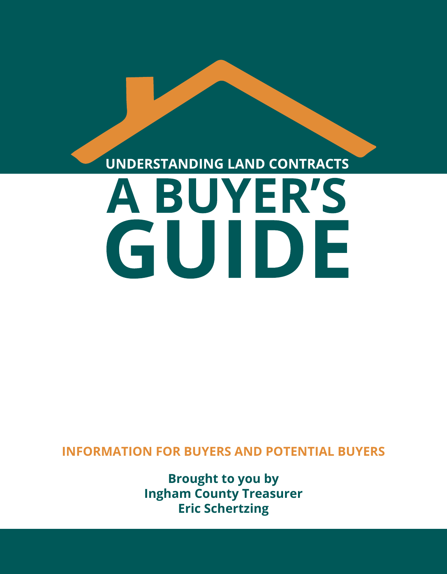# UNDERSTANDING LAND CONTRACTS A BUYER'S GUIDE

**INFORMATION FOR BUYERS AND POTENTIAL BUYERS**

**Brought to you by Ingham County Treasurer Eric Schertzing**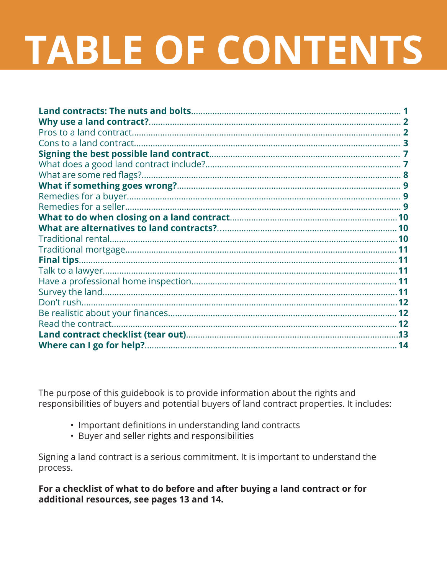# **TABLE OF CONTENTS**

The purpose of this guidebook is to provide information about the rights and responsibilities of buyers and potential buyers of land contract properties. It includes:

- Important definitions in understanding land contracts
- Buyer and seller rights and responsibilities

Signing a land contract is a serious commitment. It is important to understand the process.

For a checklist of what to do before and after buying a land contract or for additional resources, see pages 13 and 14.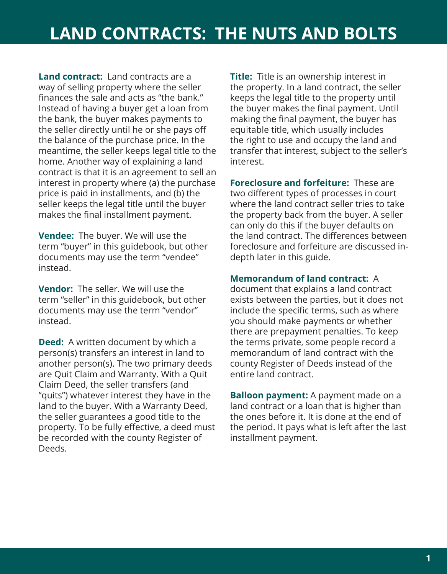**Land contract:** Land contracts are a way of selling property where the seller finances the sale and acts as "the bank." Instead of having a buyer get a loan from the bank, the buyer makes payments to the seller directly until he or she pays off the balance of the purchase price. In the meantime, the seller keeps legal title to the home. Another way of explaining a land contract is that it is an agreement to sell an interest in property where (a) the purchase price is paid in installments, and (b) the seller keeps the legal title until the buyer makes the final installment payment.

**Vendee:** The buyer. We will use the term "buyer" in this guidebook, but other documents may use the term "vendee" instead.

**Vendor:** The seller. We will use the term "seller" in this guidebook, but other documents may use the term "vendor" instead.

**Deed:** A written document by which a person(s) transfers an interest in land to another person(s). The two primary deeds are Quit Claim and Warranty. With a Quit Claim Deed, the seller transfers (and "quits") whatever interest they have in the land to the buyer. With a Warranty Deed, the seller guarantees a good title to the property. To be fully effective, a deed must be recorded with the county Register of Deeds.

**Title:** Title is an ownership interest in the property. In a land contract, the seller keeps the legal title to the property until the buyer makes the final payment. Until making the final payment, the buyer has equitable title, which usually includes the right to use and occupy the land and transfer that interest, subject to the seller's interest.

**Foreclosure and forfeiture:** These are two different types of processes in court where the land contract seller tries to take the property back from the buyer. A seller can only do this if the buyer defaults on the land contract. The differences between foreclosure and forfeiture are discussed indepth later in this guide.

#### **Memorandum of land contract:** A

document that explains a land contract exists between the parties, but it does not include the specific terms, such as where you should make payments or whether there are prepayment penalties. To keep the terms private, some people record a memorandum of land contract with the county Register of Deeds instead of the entire land contract.

**Balloon payment:** A payment made on a land contract or a loan that is higher than the ones before it. It is done at the end of the period. It pays what is left after the last installment payment.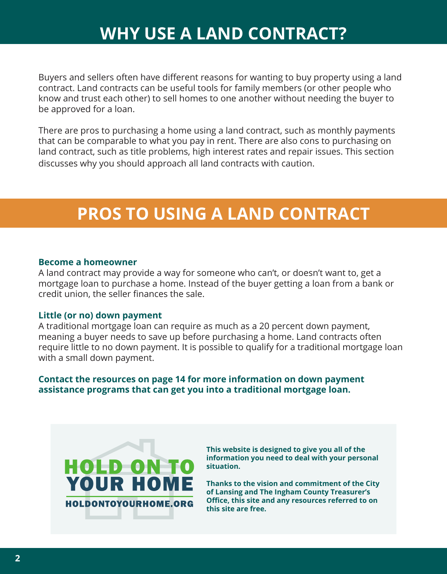### **WHY USE A LAND CONTRACT?**

Buyers and sellers often have different reasons for wanting to buy property using a land contract. Land contracts can be useful tools for family members (or other people who know and trust each other) to sell homes to one another without needing the buyer to be approved for a loan.

There are pros to purchasing a home using a land contract, such as monthly payments that can be comparable to what you pay in rent. There are also cons to purchasing on land contract, such as title problems, high interest rates and repair issues. This section discusses why you should approach all land contracts with caution.

# **PROS TO USING A LAND CONTRACT PROS TO USING A LAND CONTRACT**

#### **Become a homeowner**

A land contract may provide a way for someone who can't, or doesn't want to, get a mortgage loan to purchase a home. Instead of the buyer getting a loan from a bank or credit union, the seller finances the sale.

#### **Little (or no) down payment**

A traditional mortgage loan can require as much as a 20 percent down payment, meaning a buyer needs to save up before purchasing a home. Land contracts often require little to no down payment. It is possible to qualify for a traditional mortgage loan with a small down payment.

**Contact the resources on page 14 for more information on down payment assistance programs that can get you into a traditional mortgage loan.**



**This website is designed to give you all of the information you need to deal with your personal situation.** 

**Thanks to the vision and commitment of the City of Lansing and The Ingham County Treasurer's Office, this site and any resources referred to on this site are free.**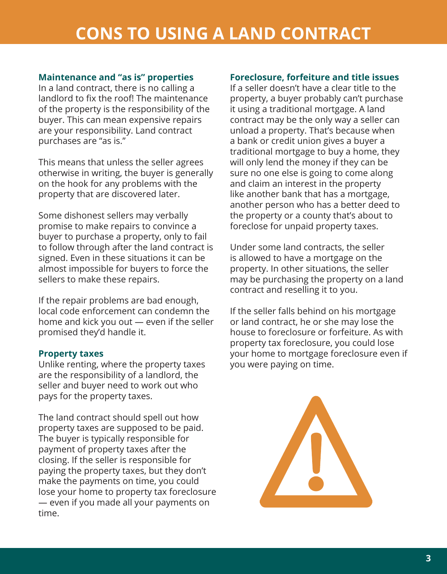#### **Maintenance and "as is" properties**

In a land contract, there is no calling a landlord to fix the roof! The maintenance of the property is the responsibility of the buyer. This can mean expensive repairs are your responsibility. Land contract purchases are "as is."

This means that unless the seller agrees otherwise in writing, the buyer is generally on the hook for any problems with the property that are discovered later.

Some dishonest sellers may verbally promise to make repairs to convince a buyer to purchase a property, only to fail to follow through after the land contract is signed. Even in these situations it can be almost impossible for buyers to force the sellers to make these repairs.

If the repair problems are bad enough, local code enforcement can condemn the home and kick you out — even if the seller promised they'd handle it.

#### **Property taxes**

Unlike renting, where the property taxes are the responsibility of a landlord, the seller and buyer need to work out who pays for the property taxes.

The land contract should spell out how property taxes are supposed to be paid. The buyer is typically responsible for payment of property taxes after the closing. If the seller is responsible for paying the property taxes, but they don't make the payments on time, you could lose your home to property tax foreclosure — even if you made all your payments on time.

#### **Foreclosure, forfeiture and title issues**

If a seller doesn't have a clear title to the property, a buyer probably can't purchase it using a traditional mortgage. A land contract may be the only way a seller can unload a property. That's because when a bank or credit union gives a buyer a traditional mortgage to buy a home, they will only lend the money if they can be sure no one else is going to come along and claim an interest in the property like another bank that has a mortgage, another person who has a better deed to the property or a county that's about to foreclose for unpaid property taxes.

Under some land contracts, the seller is allowed to have a mortgage on the property. In other situations, the seller may be purchasing the property on a land contract and reselling it to you.

If the seller falls behind on his mortgage or land contract, he or she may lose the house to foreclosure or forfeiture. As with property tax foreclosure, you could lose your home to mortgage foreclosure even if you were paying on time.

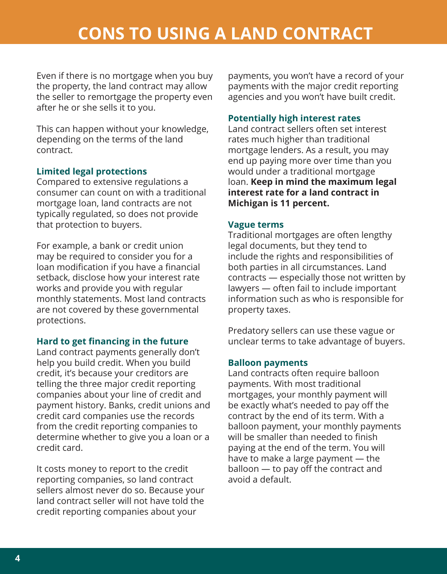Even if there is no mortgage when you buy the property, the land contract may allow the seller to remortgage the property even after he or she sells it to you.

This can happen without your knowledge, depending on the terms of the land contract.

#### **Limited legal protections**

Compared to extensive regulations a consumer can count on with a traditional mortgage loan, land contracts are not typically regulated, so does not provide that protection to buyers.

For example, a bank or credit union may be required to consider you for a loan modification if you have a financial setback, disclose how your interest rate works and provide you with regular monthly statements. Most land contracts are not covered by these governmental protections.

#### **Hard to get financing in the future**

Land contract payments generally don't help you build credit. When you build credit, it's because your creditors are telling the three major credit reporting companies about your line of credit and payment history. Banks, credit unions and credit card companies use the records from the credit reporting companies to determine whether to give you a loan or a credit card.

It costs money to report to the credit reporting companies, so land contract sellers almost never do so. Because your land contract seller will not have told the credit reporting companies about your

payments, you won't have a record of your payments with the major credit reporting agencies and you won't have built credit.

#### **Potentially high interest rates**

Land contract sellers often set interest rates much higher than traditional mortgage lenders. As a result, you may end up paying more over time than you would under a traditional mortgage loan. **Keep in mind the maximum legal interest rate for a land contract in Michigan is 11 percent.** 

#### **Vague terms**

Traditional mortgages are often lengthy legal documents, but they tend to include the rights and responsibilities of both parties in all circumstances. Land contracts — especially those not written by lawyers — often fail to include important information such as who is responsible for property taxes.

Predatory sellers can use these vague or unclear terms to take advantage of buyers.

#### **Balloon payments**

Land contracts often require balloon payments. With most traditional mortgages, your monthly payment will be exactly what's needed to pay off the contract by the end of its term. With a balloon payment, your monthly payments will be smaller than needed to finish paying at the end of the term. You will have to make a large payment — the balloon — to pay off the contract and avoid a default.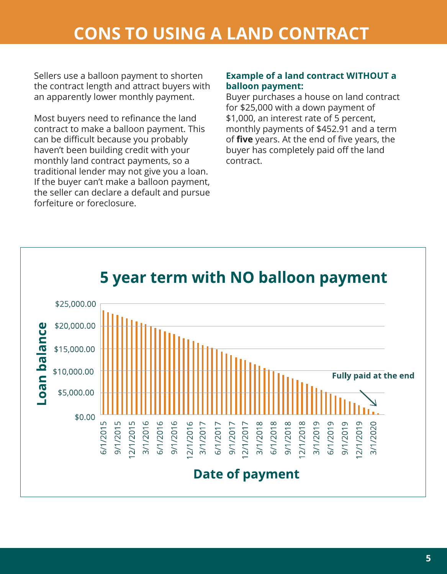Sellers use a balloon payment to shorten the contract length and attract buyers with an apparently lower monthly payment.

Most buyers need to refinance the land contract to make a balloon payment. This can be difficult because you probably haven't been building credit with your monthly land contract payments, so a traditional lender may not give you a loan. If the buyer can't make a balloon payment, the seller can declare a default and pursue forfeiture or foreclosure.

#### **Example of a land contract WITHOUT a balloon payment:**

Buyer purchases a house on land contract for \$25,000 with a down payment of \$1,000, an interest rate of 5 percent, monthly payments of \$452.91 and a term of **five** years. At the end of five years, the buyer has completely paid off the land contract.

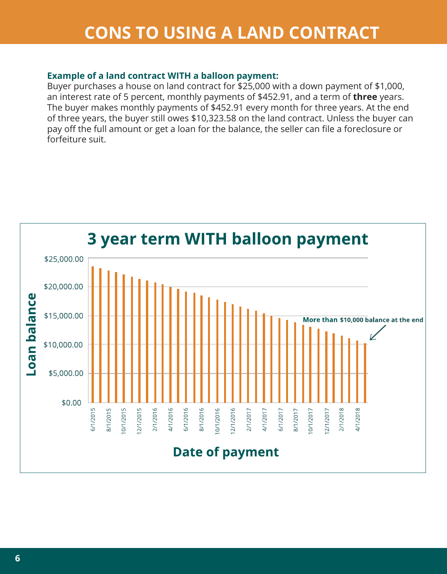#### **Example of a land contract WITH a balloon payment:**

Buyer purchases a house on land contract for \$25,000 with a down payment of \$1,000, an interest rate of 5 percent, monthly payments of \$452.91, and a term of **three** years. The buyer makes monthly payments of \$452.91 every month for three years. At the end of three years, the buyer still owes \$10,323.58 on the land contract. Unless the buyer can pay off the full amount or get a loan for the balance, the seller can file a foreclosure or forfeiture suit.

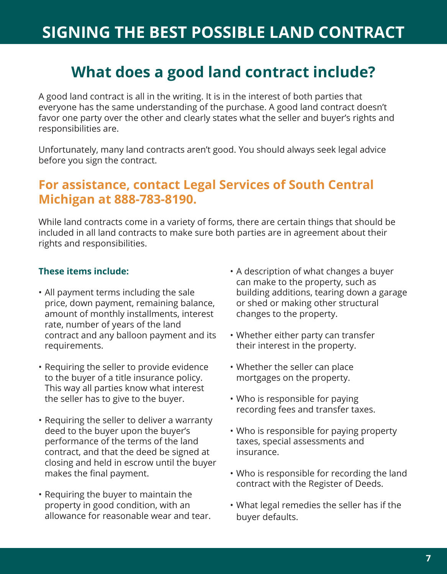# **SIGNING THE BEST POSSIBLE LAND CONTRACT**

### **What does a good land contract include?**

A good land contract is all in the writing. It is in the interest of both parties that everyone has the same understanding of the purchase. A good land contract doesn't favor one party over the other and clearly states what the seller and buyer's rights and responsibilities are.

Unfortunately, many land contracts aren't good. You should always seek legal advice before you sign the contract.

#### **For assistance, contact Legal Services of South Central Michigan at 888-783-8190.**

While land contracts come in a variety of forms, there are certain things that should be included in all land contracts to make sure both parties are in agreement about their rights and responsibilities.

#### **These items include:**

- All payment terms including the sale price, down payment, remaining balance, amount of monthly installments, interest rate, number of years of the land contract and any balloon payment and its requirements.
- Requiring the seller to provide evidence to the buyer of a title insurance policy. This way all parties know what interest the seller has to give to the buyer.
- Requiring the seller to deliver a warranty deed to the buyer upon the buyer's performance of the terms of the land contract, and that the deed be signed at closing and held in escrow until the buyer makes the final payment.
- Requiring the buyer to maintain the property in good condition, with an allowance for reasonable wear and tear.
- A description of what changes a buyer can make to the property, such as building additions, tearing down a garage or shed or making other structural changes to the property.
- Whether either party can transfer their interest in the property.
- Whether the seller can place mortgages on the property.
- Who is responsible for paying recording fees and transfer taxes.
- Who is responsible for paying property taxes, special assessments and insurance.
- Who is responsible for recording the land contract with the Register of Deeds.
- What legal remedies the seller has if the buyer defaults.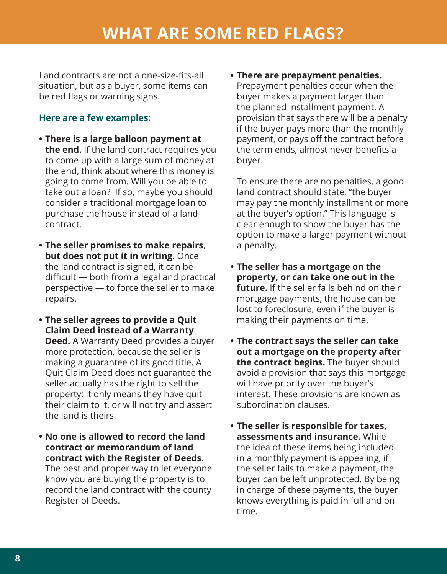### **WHAT ARE SOME RED FLAGS?**

Land contracts are not a one-size-fits-all situation, but as a buyer, some items can be red flags or warning signs.

#### **Here are a few examples:**

- **• There is a large balloon payment at the end.** If the land contract requires you to come up with a large sum of money at the end, think about where this money is going to come from. Will you be able to take out a loan? If so, maybe you should consider a traditional mortgage loan to purchase the house instead of a land contract.
- **• The seller promises to make repairs, but does not put it in writing.** Once the land contract is signed, it can be difficult — both from a legal and practical perspective — to force the seller to make repairs.
- **• The seller agrees to provide a Quit Claim Deed instead of a Warranty Deed.** A Warranty Deed provides a buyer more protection, because the seller is making a guarantee of its good title. A Quit Claim Deed does not guarantee the seller actually has the right to sell the property; it only means they have quit their claim to it, or will not try and assert the land is theirs.
- **• No one is allowed to record the land contract or memorandum of land contract with the Register of Deeds.** The best and proper way to let everyone know you are buying the property is to record the land contract with the county Register of Deeds.

**• There are prepayment penalties.** Prepayment penalties occur when the buyer makes a payment larger than the planned installment payment. A provision that says there will be a penalty if the buyer pays more than the monthly payment, or pays off the contract before the term ends, almost never benefits a buyer.

To ensure there are no penalties, a good land contract should state, "the buyer may pay the monthly installment or more at the buyer's option." This language is clear enough to show the buyer has the option to make a larger payment without a penalty.

- **• The seller has a mortgage on the property, or can take one out in the future.** If the seller falls behind on their mortgage payments, the house can be lost to foreclosure, even if the buyer is making their payments on time.
- **• The contract says the seller can take out a mortgage on the property after the contract begins.** The buyer should avoid a provision that says this mortgage will have priority over the buyer's interest. These provisions are known as subordination clauses.
- **• The seller is responsible for taxes, assessments and insurance.** While the idea of these items being included in a monthly payment is appealing, if the seller fails to make a payment, the buyer can be left unprotected. By being in charge of these payments, the buyer knows everything is paid in full and on time.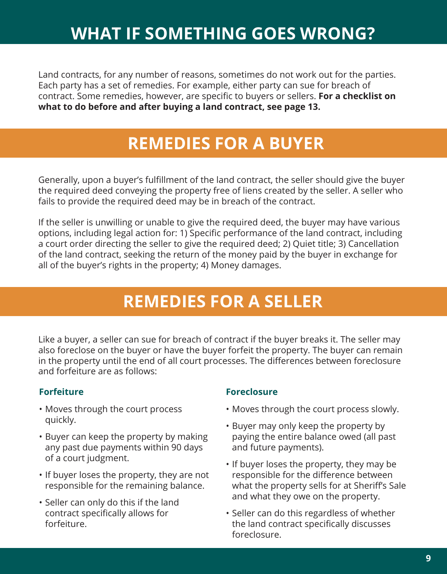# **WHAT IF SOMETHING GOES WRONG?**

Land contracts, for any number of reasons, sometimes do not work out for the parties. Each party has a set of remedies. For example, either party can sue for breach of contract. Some remedies, however, are specific to buyers or sellers. **For a checklist on what to do before and after buying a land contract, see page 13.**

# **REMEDIES FOR A BUYER REMEDIES FOR A BUYER**

Generally, upon a buyer's fulfillment of the land contract, the seller should give the buyer the required deed conveying the property free of liens created by the seller. A seller who fails to provide the required deed may be in breach of the contract.

If the seller is unwilling or unable to give the required deed, the buyer may have various options, including legal action for: 1) Specific performance of the land contract, including a court order directing the seller to give the required deed; 2) Quiet title; 3) Cancellation of the land contract, seeking the return of the money paid by the buyer in exchange for all of the buyer's rights in the property; 4) Money damages.

# **REMEDIES FOR A SELLER REMEDIES FOR A SELLER**

Like a buyer, a seller can sue for breach of contract if the buyer breaks it. The seller may also foreclose on the buyer or have the buyer forfeit the property. The buyer can remain in the property until the end of all court processes. The differences between foreclosure and forfeiture are as follows:

#### **Forfeiture**

- Moves through the court process quickly.
- Buyer can keep the property by making any past due payments within 90 days of a court judgment.
- If buyer loses the property, they are not responsible for the remaining balance.
- Seller can only do this if the land contract specifically allows for forfeiture.

#### **Foreclosure**

- Moves through the court process slowly.
- Buyer may only keep the property by paying the entire balance owed (all past and future payments).
- If buyer loses the property, they may be responsible for the difference between what the property sells for at Sheriff's Sale and what they owe on the property.
- Seller can do this regardless of whether the land contract specifically discusses foreclosure.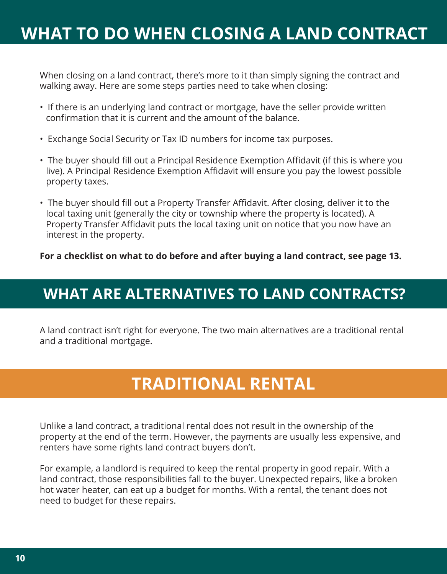### **WHAT TO DO WHEN CLOSING A LAND CONTRACT**

When closing on a land contract, there's more to it than simply signing the contract and walking away. Here are some steps parties need to take when closing:

- If there is an underlying land contract or mortgage, have the seller provide written confirmation that it is current and the amount of the balance.
- Exchange Social Security or Tax ID numbers for income tax purposes.
- The buyer should fill out a Principal Residence Exemption Affidavit (if this is where you live). A Principal Residence Exemption Affidavit will ensure you pay the lowest possible property taxes.
- The buyer should fill out a Property Transfer Affidavit. After closing, deliver it to the local taxing unit (generally the city or township where the property is located). A Property Transfer Affidavit puts the local taxing unit on notice that you now have an interest in the property.

#### **For a checklist on what to do before and after buying a land contract, see page 13.**

### **WHAT ARE ALTERNATIVES TO LAND CONTRACTS?**

A land contract isn't right for everyone. The two main alternatives are a traditional rental and a traditional mortgage.

### **TRADITIONAL RENTAL**

Unlike a land contract, a traditional rental does not result in the ownership of the property at the end of the term. However, the payments are usually less expensive, and renters have some rights land contract buyers don't.

For example, a landlord is required to keep the rental property in good repair. With a land contract, those responsibilities fall to the buyer. Unexpected repairs, like a broken hot water heater, can eat up a budget for months. With a rental, the tenant does not need to budget for these repairs.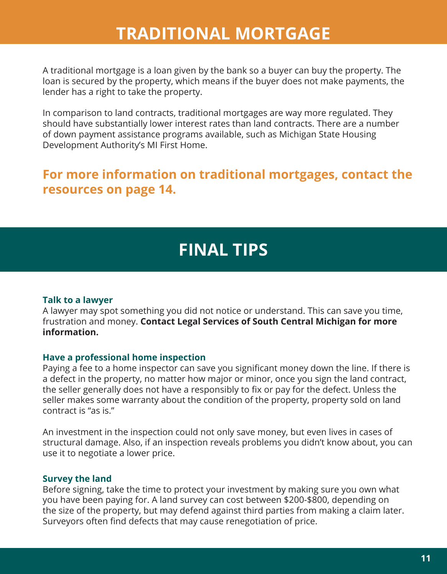### **TRADITIONAL MORTGAGE**

A traditional mortgage is a loan given by the bank so a buyer can buy the property. The loan is secured by the property, which means if the buyer does not make payments, the lender has a right to take the property.

In comparison to land contracts, traditional mortgages are way more regulated. They should have substantially lower interest rates than land contracts. There are a number of down payment assistance programs available, such as Michigan State Housing Development Authority's MI First Home.

#### **For more information on traditional mortgages, contact the resources on page 14.**

### **FINAL TIPS**

#### **Talk to a lawyer**

A lawyer may spot something you did not notice or understand. This can save you time, frustration and money. **Contact Legal Services of South Central Michigan for more information.** 

#### **Have a professional home inspection**

Paying a fee to a home inspector can save you significant money down the line. If there is a defect in the property, no matter how major or minor, once you sign the land contract, the seller generally does not have a responsibly to fix or pay for the defect. Unless the seller makes some warranty about the condition of the property, property sold on land contract is "as is."

An investment in the inspection could not only save money, but even lives in cases of structural damage. Also, if an inspection reveals problems you didn't know about, you can use it to negotiate a lower price.

#### **Survey the land**

Before signing, take the time to protect your investment by making sure you own what you have been paying for. A land survey can cost between \$200-\$800, depending on the size of the property, but may defend against third parties from making a claim later. Surveyors often find defects that may cause renegotiation of price.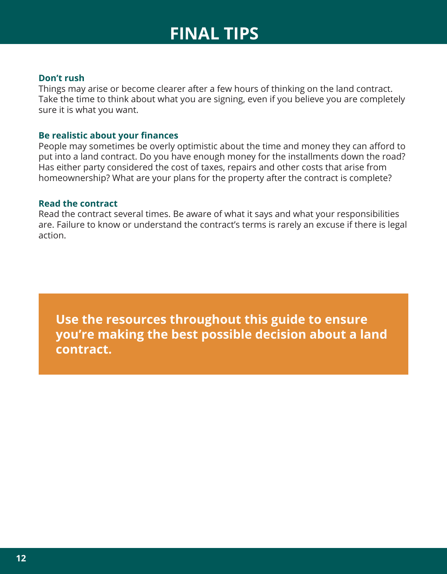### **FINAL TIPS**

#### **Don't rush**

Things may arise or become clearer after a few hours of thinking on the land contract. Take the time to think about what you are signing, even if you believe you are completely sure it is what you want.

#### **Be realistic about your finances**

People may sometimes be overly optimistic about the time and money they can afford to put into a land contract. Do you have enough money for the installments down the road? Has either party considered the cost of taxes, repairs and other costs that arise from homeownership? What are your plans for the property after the contract is complete?

#### **Read the contract**

Read the contract several times. Be aware of what it says and what your responsibilities are. Failure to know or understand the contract's terms is rarely an excuse if there is legal action.

**Use the resources throughout this guide to ensure you're making the best possible decision about a land contract.**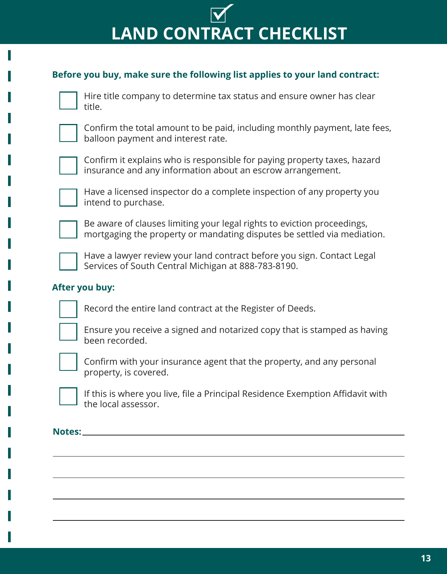# **LAND CONTRACT CHECKLIST**

#### **Before you buy, make sure the following list applies to your land contract:**



Hire title company to determine tax status and ensure owner has clear title.



Confirm the total amount to be paid, including monthly payment, late fees, balloon payment and interest rate.



Confirm it explains who is responsible for paying property taxes, hazard insurance and any information about an escrow arrangement.



Have a licensed inspector do a complete inspection of any property you intend to purchase.



Be aware of clauses limiting your legal rights to eviction proceedings, mortgaging the property or mandating disputes be settled via mediation.



Have a lawyer review your land contract before you sign. Contact Legal Services of South Central Michigan at 888-783-8190.

#### **After you buy:**

Record the entire land contract at the Register of Deeds.



Ensure you receive a signed and notarized copy that is stamped as having been recorded.



Confirm with your insurance agent that the property, and any personal property, is covered.



If this is where you live, file a Principal Residence Exemption Affidavit with the local assessor.

**Notes:**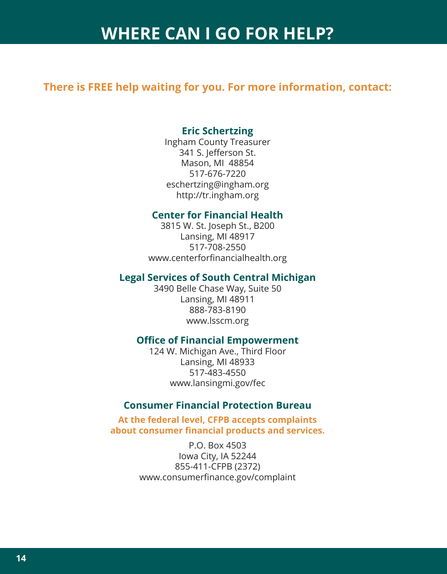### **WHERE CAN I GO FOR HELP?**

#### **There is FREE help waiting for you. For more information, contact:**

#### **Eric Schertzing**

Ingham County Treasurer 341 S. Jefferson St. Mason, MI 48854 517-676-7220 eschertzing@ingham.org http://tr.ingham.org

#### **Center for Financial Health**

3815 W. St. Joseph St., B200 Lansing, MI 48917 517-708-2550 www.centerforfinancialhealth.org

#### **Legal Services of South Central Michigan**

3490 Belle Chase Way, Suite 50 Lansing, MI 48911 888-783-8190 www.lsscm.org

#### **Office of Financial Empowerment**

124 W. Michigan Ave., Third Floor Lansing, MI 48933 517-483-4550 www.lansingmi.gov/fec

#### **Consumer Financial Protection Bureau**

**At the federal level, CFPB accepts complaints about consumer financial products and services.**

> P.O. Box 4503 Iowa City, IA 52244 855-411-CFPB (2372) www.consumerfinance.gov/complaint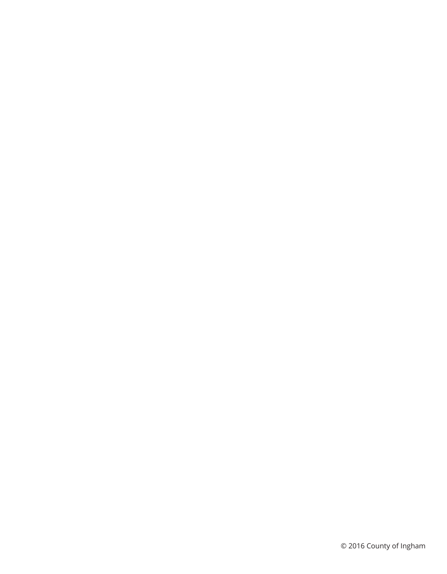© 2016 County of Ingham